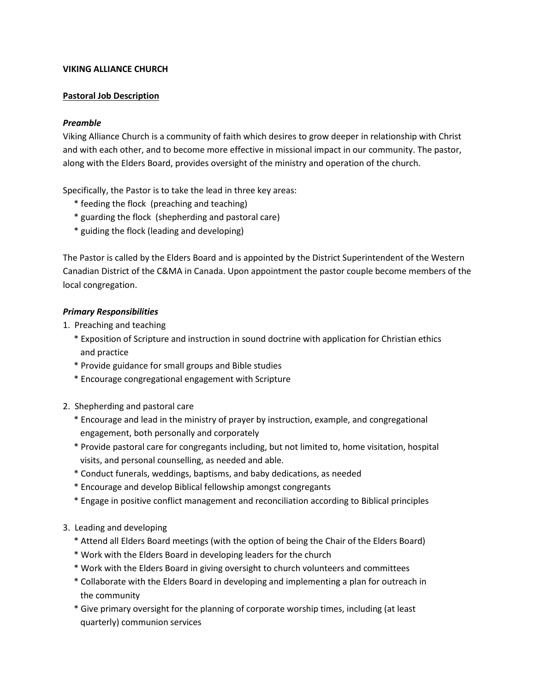## **VIKING ALLIANCE CHURCH**

# **Pastoral Job Description**

# *Preamble*

Viking Alliance Church is a community of faith which desires to grow deeper in relationship with Christ and with each other, and to become more effective in missional impact in our community. The pastor, along with the Elders Board, provides oversight of the ministry and operation of the church.

Specifically, the Pastor is to take the lead in three key areas:

- \* feeding the flock (preaching and teaching)
- \* guarding the flock (shepherding and pastoral care)
- \* guiding the flock (leading and developing)

The Pastor is called by the Elders Board and is appointed by the District Superintendent of the Western Canadian District of the C&MA in Canada. Upon appointment the pastor couple become members of the local congregation.

### *Primary Responsibilities*

- 1. Preaching and teaching
	- \* Exposition of Scripture and instruction in sound doctrine with application for Christian ethics and practice
	- \* Provide guidance for small groups and Bible studies
	- \* Encourage congregational engagement with Scripture
- 2. Shepherding and pastoral care
	- \* Encourage and lead in the ministry of prayer by instruction, example, and congregational engagement, both personally and corporately
	- \* Provide pastoral care for congregants including, but not limited to, home visitation, hospital visits, and personal counselling, as needed and able.
	- \* Conduct funerals, weddings, baptisms, and baby dedications, as needed
	- \* Encourage and develop Biblical fellowship amongst congregants
	- \* Engage in positive conflict management and reconciliation according to Biblical principles
- 3. Leading and developing
	- \* Attend all Elders Board meetings (with the option of being the Chair of the Elders Board)
	- \* Work with the Elders Board in developing leaders for the church
	- \* Work with the Elders Board in giving oversight to church volunteers and committees
	- \* Collaborate with the Elders Board in developing and implementing a plan for outreach in the community
	- \* Give primary oversight for the planning of corporate worship times, including (at least quarterly) communion services